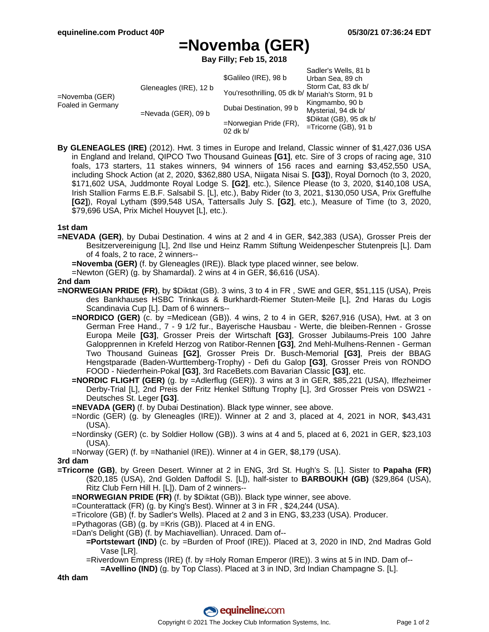# **=Novemba (GER)**

**Bay Filly; Feb 15, 2018**

| =Novemba (GER)<br>Foaled in Germany | Gleneagles (IRE), 12 b<br>$=$ Nevada (GER), 09 b | \$Galileo (IRE), 98 b<br>You'resothrilling, 05 dk b/ Mariah's Storm, 91 b<br>Dubai Destination, 99 b<br>$=$ Norwegian Pride (FR), | Sadler's Wells, 81 b<br>Urban Sea, 89 ch<br>Storm Cat, 83 dk b/<br>Kingmambo, 90 b<br>Mysterial, 94 dk b/<br>\$Diktat (GB), 95 dk b/<br>=Tricorne (GB), 91 b |
|-------------------------------------|--------------------------------------------------|-----------------------------------------------------------------------------------------------------------------------------------|--------------------------------------------------------------------------------------------------------------------------------------------------------------|
|                                     |                                                  | $02$ dk b/                                                                                                                        |                                                                                                                                                              |

**By GLENEAGLES (IRE)** (2012). Hwt. 3 times in Europe and Ireland, Classic winner of \$1,427,036 USA in England and Ireland, QIPCO Two Thousand Guineas **[G1]**, etc. Sire of 3 crops of racing age, 310 foals, 173 starters, 11 stakes winners, 94 winners of 156 races and earning \$3,452,550 USA, including Shock Action (at 2, 2020, \$362,880 USA, Niigata Nisai S. **[G3]**), Royal Dornoch (to 3, 2020, \$171,602 USA, Juddmonte Royal Lodge S. **[G2]**, etc.), Silence Please (to 3, 2020, \$140,108 USA, Irish Stallion Farms E.B.F. Salsabil S. [L], etc.), Baby Rider (to 3, 2021, \$130,050 USA, Prix Greffulhe **[G2]**), Royal Lytham (\$99,548 USA, Tattersalls July S. **[G2]**, etc.), Measure of Time (to 3, 2020, \$79,696 USA, Prix Michel Houyvet [L], etc.).

#### **1st dam**

**=NEVADA (GER)**, by Dubai Destination. 4 wins at 2 and 4 in GER, \$42,383 (USA), Grosser Preis der Besitzervereinigung [L], 2nd Ilse und Heinz Ramm Stiftung Weidenpescher Stutenpreis [L]. Dam of 4 foals, 2 to race, 2 winners--

**=Novemba (GER)** (f. by Gleneagles (IRE)). Black type placed winner, see below.

=Newton (GER) (g. by Shamardal). 2 wins at 4 in GER, \$6,616 (USA).

#### **2nd dam**

- **=NORWEGIAN PRIDE (FR)**, by \$Diktat (GB). 3 wins, 3 to 4 in FR , SWE and GER, \$51,115 (USA), Preis des Bankhauses HSBC Trinkaus & Burkhardt-Riemer Stuten-Meile [L], 2nd Haras du Logis Scandinavia Cup [L]. Dam of 6 winners--
	- **=NORDICO (GER)** (c. by =Medicean (GB)). 4 wins, 2 to 4 in GER, \$267,916 (USA), Hwt. at 3 on German Free Hand., 7 - 9 1/2 fur., Bayerische Hausbau - Werte, die bleiben-Rennen - Grosse Europa Meile **[G3]**, Grosser Preis der Wirtschaft **[G3]**, Grosser Jubilaums-Preis 100 Jahre Galopprennen in Krefeld Herzog von Ratibor-Rennen **[G3]**, 2nd Mehl-Mulhens-Rennen - German Two Thousand Guineas **[G2]**, Grosser Preis Dr. Busch-Memorial **[G3]**, Preis der BBAG Hengstparade (Baden-Wurttemberg-Trophy) - Defi du Galop **[G3]**, Grosser Preis von RONDO FOOD - Niederrhein-Pokal **[G3]**, 3rd RaceBets.com Bavarian Classic **[G3]**, etc.
	- **=NORDIC FLIGHT (GER)** (g. by =Adlerflug (GER)). 3 wins at 3 in GER, \$85,221 (USA), Iffezheimer Derby-Trial [L], 2nd Preis der Fritz Henkel Stiftung Trophy [L], 3rd Grosser Preis von DSW21 - Deutsches St. Leger **[G3]**.

**=NEVADA (GER)** (f. by Dubai Destination). Black type winner, see above.

- =Nordic (GER) (g. by Gleneagles (IRE)). Winner at 2 and 3, placed at 4, 2021 in NOR, \$43,431 (USA).
- =Nordinsky (GER) (c. by Soldier Hollow (GB)). 3 wins at 4 and 5, placed at 6, 2021 in GER, \$23,103 (USA).
- =Norway (GER) (f. by =Nathaniel (IRE)). Winner at 4 in GER, \$8,179 (USA).

### **3rd dam**

**=Tricorne (GB)**, by Green Desert. Winner at 2 in ENG, 3rd St. Hugh's S. [L]. Sister to **Papaha (FR)** (\$20,185 (USA), 2nd Golden Daffodil S. [L]), half-sister to **BARBOUKH (GB)** (\$29,864 (USA), Ritz Club Fern Hill H. [L]). Dam of 2 winners--

**=NORWEGIAN PRIDE (FR)** (f. by \$Diktat (GB)). Black type winner, see above.

=Counterattack (FR) (g. by King's Best). Winner at 3 in FR , \$24,244 (USA).

=Tricolore (GB) (f. by Sadler's Wells). Placed at 2 and 3 in ENG, \$3,233 (USA). Producer.

=Pythagoras (GB) (g. by =Kris (GB)). Placed at 4 in ENG.

=Dan's Delight (GB) (f. by Machiavellian). Unraced. Dam of--

- **=Portstewart (IND)** (c. by =Burden of Proof (IRE)). Placed at 3, 2020 in IND, 2nd Madras Gold Vase [LR].
	- =Riverdown Empress (IRE) (f. by =Holy Roman Emperor (IRE)). 3 wins at 5 in IND. Dam of--

**=Avellino (IND)** (g. by Top Class). Placed at 3 in IND, 3rd Indian Champagne S. [L].

**4th dam**